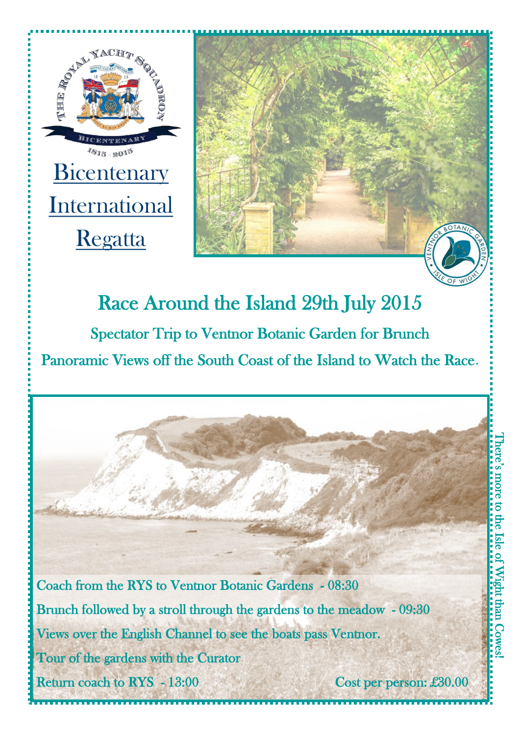



## Race Around the Island 29th July 2015 Spectator Trip to Ventnor Botanic Garden for Brunch Panoramic Views off the South Coast of the Island to Watch the Race.

Coach from the RYS to Ventnor Botanic Gardens - 08:30 Brunch followed by a stroll through the gardens to the meadow - 09:30 Views over the English Channel to see the boats pass Ventnor. Tour of the gardens with the Curator Return coach to RYS - 13:00 Cost per person: £30.00